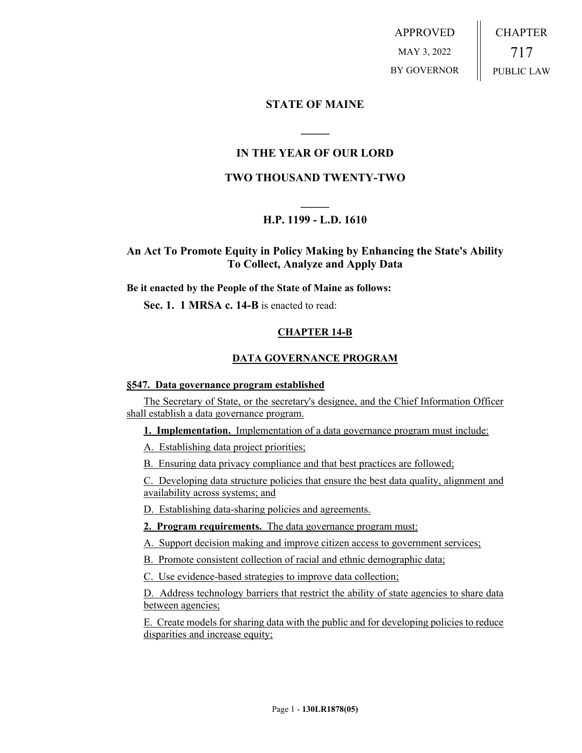APPROVED MAY 3, 2022 BY GOVERNOR CHAPTER 717 PUBLIC LAW

# **STATE OF MAINE**

# **IN THE YEAR OF OUR LORD**

**\_\_\_\_\_**

## **TWO THOUSAND TWENTY-TWO**

# **\_\_\_\_\_ H.P. 1199 - L.D. 1610**

**An Act To Promote Equity in Policy Making by Enhancing the State's Ability To Collect, Analyze and Apply Data**

**Be it enacted by the People of the State of Maine as follows:**

**Sec. 1. 1 MRSA c. 14-B** is enacted to read:

## **CHAPTER 14-B**

## **DATA GOVERNANCE PROGRAM**

#### **§547. Data governance program established**

The Secretary of State, or the secretary's designee, and the Chief Information Officer shall establish a data governance program.

**1. Implementation.** Implementation of a data governance program must include:

A. Establishing data project priorities;

B. Ensuring data privacy compliance and that best practices are followed;

C. Developing data structure policies that ensure the best data quality, alignment and availability across systems; and

D. Establishing data-sharing policies and agreements.

**2. Program requirements.** The data governance program must:

A. Support decision making and improve citizen access to government services;

B. Promote consistent collection of racial and ethnic demographic data;

C. Use evidence-based strategies to improve data collection;

D. Address technology barriers that restrict the ability of state agencies to share data between agencies;

E. Create models for sharing data with the public and for developing policies to reduce disparities and increase equity;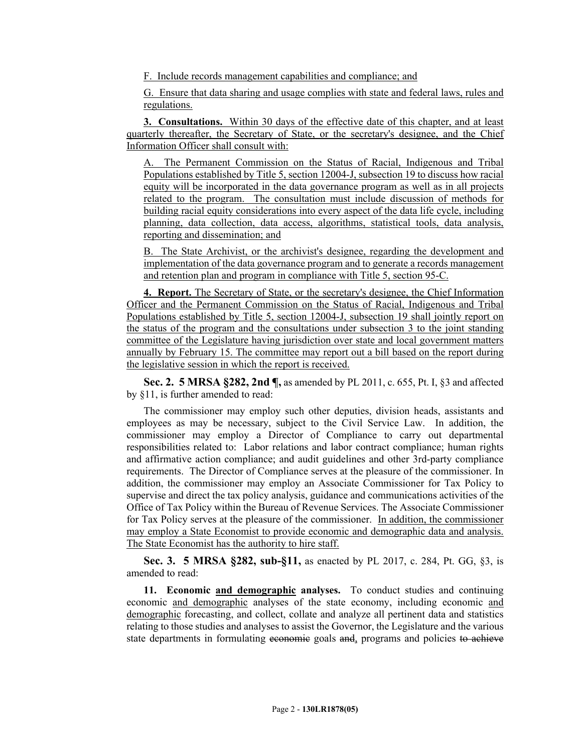F. Include records management capabilities and compliance; and

G. Ensure that data sharing and usage complies with state and federal laws, rules and regulations.

**3. Consultations.** Within 30 days of the effective date of this chapter, and at least quarterly thereafter, the Secretary of State, or the secretary's designee, and the Chief Information Officer shall consult with:

The Permanent Commission on the Status of Racial, Indigenous and Tribal Populations established by Title 5, section 12004-J, subsection 19 to discuss how racial equity will be incorporated in the data governance program as well as in all projects related to the program. The consultation must include discussion of methods for building racial equity considerations into every aspect of the data life cycle, including planning, data collection, data access, algorithms, statistical tools, data analysis, reporting and dissemination; and

B. The State Archivist, or the archivist's designee, regarding the development and implementation of the data governance program and to generate a records management and retention plan and program in compliance with Title 5, section 95-C.

**4. Report.** The Secretary of State, or the secretary's designee, the Chief Information Officer and the Permanent Commission on the Status of Racial, Indigenous and Tribal Populations established by Title 5, section 12004-J, subsection 19 shall jointly report on the status of the program and the consultations under subsection 3 to the joint standing committee of the Legislature having jurisdiction over state and local government matters annually by February 15. The committee may report out a bill based on the report during the legislative session in which the report is received.

**Sec. 2. 5 MRSA §282, 2nd ¶,** as amended by PL 2011, c. 655, Pt. I, §3 and affected by §11, is further amended to read:

The commissioner may employ such other deputies, division heads, assistants and employees as may be necessary, subject to the Civil Service Law. In addition, the commissioner may employ a Director of Compliance to carry out departmental responsibilities related to: Labor relations and labor contract compliance; human rights and affirmative action compliance; and audit guidelines and other 3rd-party compliance requirements. The Director of Compliance serves at the pleasure of the commissioner. In addition, the commissioner may employ an Associate Commissioner for Tax Policy to supervise and direct the tax policy analysis, guidance and communications activities of the Office of Tax Policy within the Bureau of Revenue Services. The Associate Commissioner for Tax Policy serves at the pleasure of the commissioner. In addition, the commissioner may employ a State Economist to provide economic and demographic data and analysis. The State Economist has the authority to hire staff.

**Sec. 3. 5 MRSA §282, sub-§11,** as enacted by PL 2017, c. 284, Pt. GG, §3, is amended to read:

**11. Economic and demographic analyses.** To conduct studies and continuing economic and demographic analyses of the state economy, including economic and demographic forecasting, and collect, collate and analyze all pertinent data and statistics relating to those studies and analyses to assist the Governor, the Legislature and the various state departments in formulating economic goals and, programs and policies to achieve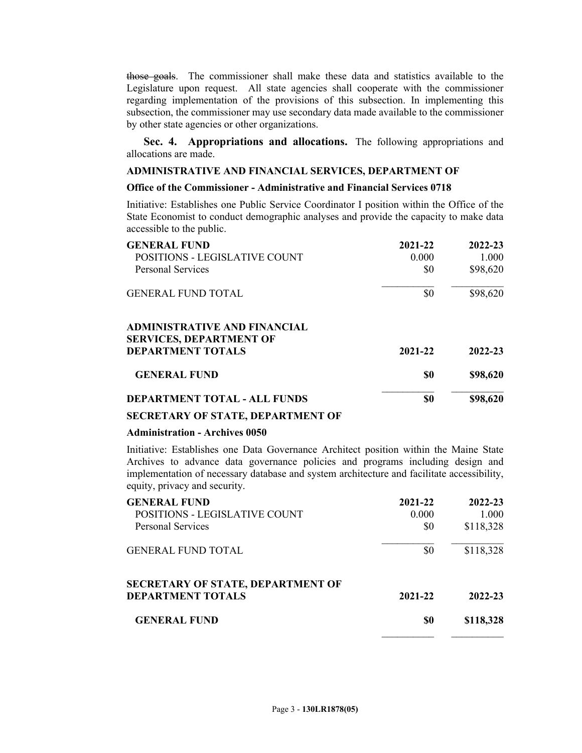those goals. The commissioner shall make these data and statistics available to the Legislature upon request. All state agencies shall cooperate with the commissioner regarding implementation of the provisions of this subsection. In implementing this subsection, the commissioner may use secondary data made available to the commissioner by other state agencies or other organizations.

**Sec. 4. Appropriations and allocations.** The following appropriations and allocations are made.

#### **ADMINISTRATIVE AND FINANCIAL SERVICES, DEPARTMENT OF**

### **Office of the Commissioner - Administrative and Financial Services 0718**

Initiative: Establishes one Public Service Coordinator I position within the Office of the State Economist to conduct demographic analyses and provide the capacity to make data accessible to the public.

| <b>GENERAL FUND</b><br>POSITIONS - LEGISLATIVE COUNT<br><b>Personal Services</b> | 2021-22<br>0.000<br>\$0 | 2022-23<br>1.000<br>\$98,620 |
|----------------------------------------------------------------------------------|-------------------------|------------------------------|
| <b>GENERAL FUND TOTAL</b>                                                        | \$0                     | \$98,620                     |
| <b>ADMINISTRATIVE AND FINANCIAL</b><br><b>SERVICES, DEPARTMENT OF</b>            |                         |                              |
| <b>DEPARTMENT TOTALS</b>                                                         | 2021-22                 | 2022-23                      |
| <b>GENERAL FUND</b>                                                              | \$0                     | \$98,620                     |
| <b>DEPARTMENT TOTAL - ALL FUNDS</b>                                              | \$0                     | \$98,620                     |

#### **SECRETARY OF STATE, DEPARTMENT OF**

#### **Administration - Archives 0050**

Initiative: Establishes one Data Governance Architect position within the Maine State Archives to advance data governance policies and programs including design and implementation of necessary database and system architecture and facilitate accessibility, equity, privacy and security.

| <b>GENERAL FUND</b>                      | 2021-22 | 2022-23   |
|------------------------------------------|---------|-----------|
| POSITIONS - LEGISLATIVE COUNT            | 0.000   | 1.000     |
| Personal Services                        | \$0     | \$118,328 |
| <b>GENERAL FUND TOTAL</b>                | \$0     | \$118,328 |
| <b>SECRETARY OF STATE, DEPARTMENT OF</b> |         |           |
| <b>DEPARTMENT TOTALS</b>                 | 2021-22 | 2022-23   |
| <b>GENERAL FUND</b>                      | \$0     | \$118,328 |